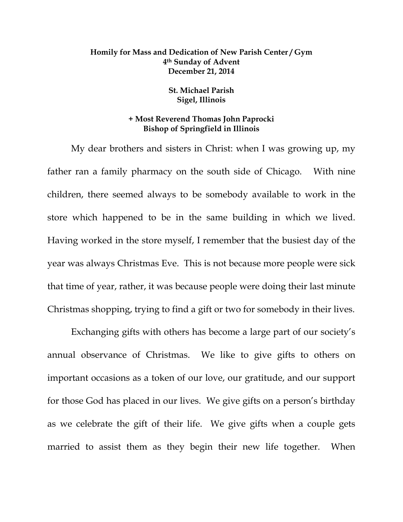## **Homily for Mass and Dedication of New Parish Center / Gym 4th Sunday of Advent December 21, 2014**

## **St. Michael Parish Sigel, Illinois**

## **+ Most Reverend Thomas John Paprocki Bishop of Springfield in Illinois**

 My dear brothers and sisters in Christ: when I was growing up, my father ran a family pharmacy on the south side of Chicago. With nine children, there seemed always to be somebody available to work in the store which happened to be in the same building in which we lived. Having worked in the store myself, I remember that the busiest day of the year was always Christmas Eve. This is not because more people were sick that time of year, rather, it was because people were doing their last minute Christmas shopping, trying to find a gift or two for somebody in their lives.

 Exchanging gifts with others has become a large part of our society's annual observance of Christmas. We like to give gifts to others on important occasions as a token of our love, our gratitude, and our support for those God has placed in our lives. We give gifts on a person's birthday as we celebrate the gift of their life. We give gifts when a couple gets married to assist them as they begin their new life together. When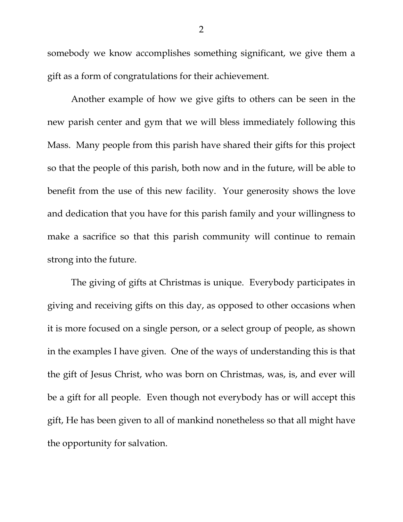somebody we know accomplishes something significant, we give them a gift as a form of congratulations for their achievement.

 Another example of how we give gifts to others can be seen in the new parish center and gym that we will bless immediately following this Mass. Many people from this parish have shared their gifts for this project so that the people of this parish, both now and in the future, will be able to benefit from the use of this new facility. Your generosity shows the love and dedication that you have for this parish family and your willingness to make a sacrifice so that this parish community will continue to remain strong into the future.

 The giving of gifts at Christmas is unique. Everybody participates in giving and receiving gifts on this day, as opposed to other occasions when it is more focused on a single person, or a select group of people, as shown in the examples I have given. One of the ways of understanding this is that the gift of Jesus Christ, who was born on Christmas, was, is, and ever will be a gift for all people. Even though not everybody has or will accept this gift, He has been given to all of mankind nonetheless so that all might have the opportunity for salvation.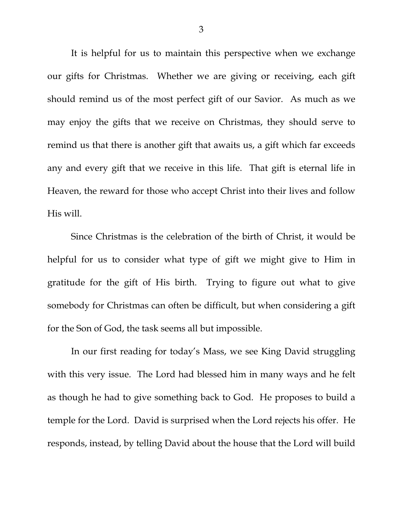It is helpful for us to maintain this perspective when we exchange our gifts for Christmas. Whether we are giving or receiving, each gift should remind us of the most perfect gift of our Savior. As much as we may enjoy the gifts that we receive on Christmas, they should serve to remind us that there is another gift that awaits us, a gift which far exceeds any and every gift that we receive in this life. That gift is eternal life in Heaven, the reward for those who accept Christ into their lives and follow His will.

 Since Christmas is the celebration of the birth of Christ, it would be helpful for us to consider what type of gift we might give to Him in gratitude for the gift of His birth. Trying to figure out what to give somebody for Christmas can often be difficult, but when considering a gift for the Son of God, the task seems all but impossible.

 In our first reading for today's Mass, we see King David struggling with this very issue. The Lord had blessed him in many ways and he felt as though he had to give something back to God. He proposes to build a temple for the Lord. David is surprised when the Lord rejects his offer. He responds, instead, by telling David about the house that the Lord will build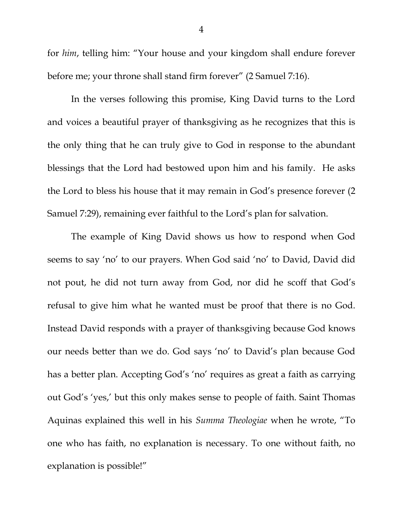for *him*, telling him: "Your house and your kingdom shall endure forever before me; your throne shall stand firm forever" (2 Samuel 7:16).

 In the verses following this promise, King David turns to the Lord and voices a beautiful prayer of thanksgiving as he recognizes that this is the only thing that he can truly give to God in response to the abundant blessings that the Lord had bestowed upon him and his family. He asks the Lord to bless his house that it may remain in God's presence forever (2 Samuel 7:29), remaining ever faithful to the Lord's plan for salvation.

 The example of King David shows us how to respond when God seems to say 'no' to our prayers. When God said 'no' to David, David did not pout, he did not turn away from God, nor did he scoff that God's refusal to give him what he wanted must be proof that there is no God. Instead David responds with a prayer of thanksgiving because God knows our needs better than we do. God says 'no' to David's plan because God has a better plan. Accepting God's 'no' requires as great a faith as carrying out God's 'yes,' but this only makes sense to people of faith. Saint Thomas Aquinas explained this well in his *Summa Theologiae* when he wrote, "To one who has faith, no explanation is necessary. To one without faith, no explanation is possible!"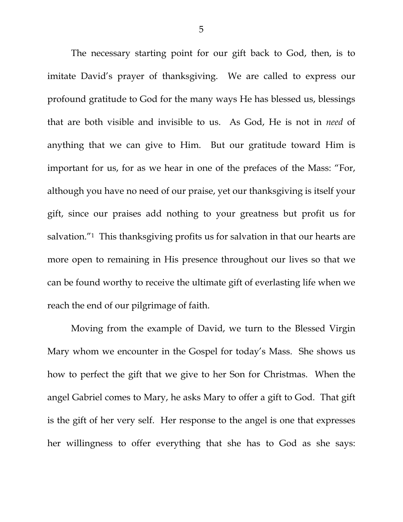The necessary starting point for our gift back to God, then, is to imitate David's prayer of thanksgiving. We are called to express our profound gratitude to God for the many ways He has blessed us, blessings that are both visible and invisible to us. As God, He is not in *need* of anything that we can give to Him. But our gratitude toward Him is important for us, for as we hear in one of the prefaces of the Mass: "For, although you have no need of our praise, yet our thanksgiving is itself your gift, since our praises add nothing to your greatness but profit us for salvation."<sup>1</sup> This thanksgiving profits us for salvation in that our hearts are more open to remaining in His presence throughout our lives so that we can be found worthy to receive the ultimate gift of everlasting life when we reach the end of our pilgrimage of faith.

 Moving from the example of David, we turn to the Blessed Virgin Mary whom we encounter in the Gospel for today's Mass. She shows us how to perfect the gift that we give to her Son for Christmas. When the angel Gabriel comes to Mary, he asks Mary to offer a gift to God. That gift is the gift of her very self. Her response to the angel is one that expresses her willingness to offer everything that she has to God as she says: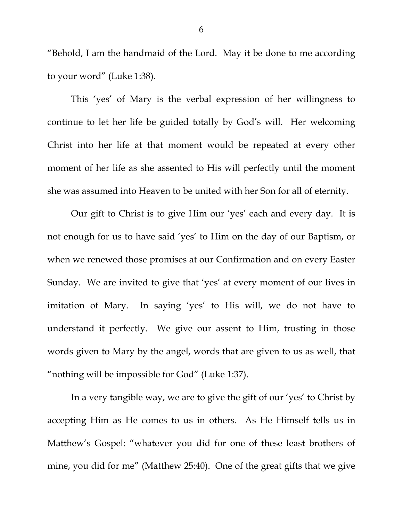"Behold, I am the handmaid of the Lord. May it be done to me according to your word" (Luke 1:38).

 This 'yes' of Mary is the verbal expression of her willingness to continue to let her life be guided totally by God's will. Her welcoming Christ into her life at that moment would be repeated at every other moment of her life as she assented to His will perfectly until the moment she was assumed into Heaven to be united with her Son for all of eternity.

 Our gift to Christ is to give Him our 'yes' each and every day. It is not enough for us to have said 'yes' to Him on the day of our Baptism, or when we renewed those promises at our Confirmation and on every Easter Sunday. We are invited to give that 'yes' at every moment of our lives in imitation of Mary. In saying 'yes' to His will, we do not have to understand it perfectly. We give our assent to Him, trusting in those words given to Mary by the angel, words that are given to us as well, that "nothing will be impossible for God" (Luke 1:37).

 In a very tangible way, we are to give the gift of our 'yes' to Christ by accepting Him as He comes to us in others. As He Himself tells us in Matthew's Gospel: "whatever you did for one of these least brothers of mine, you did for me" (Matthew 25:40). One of the great gifts that we give